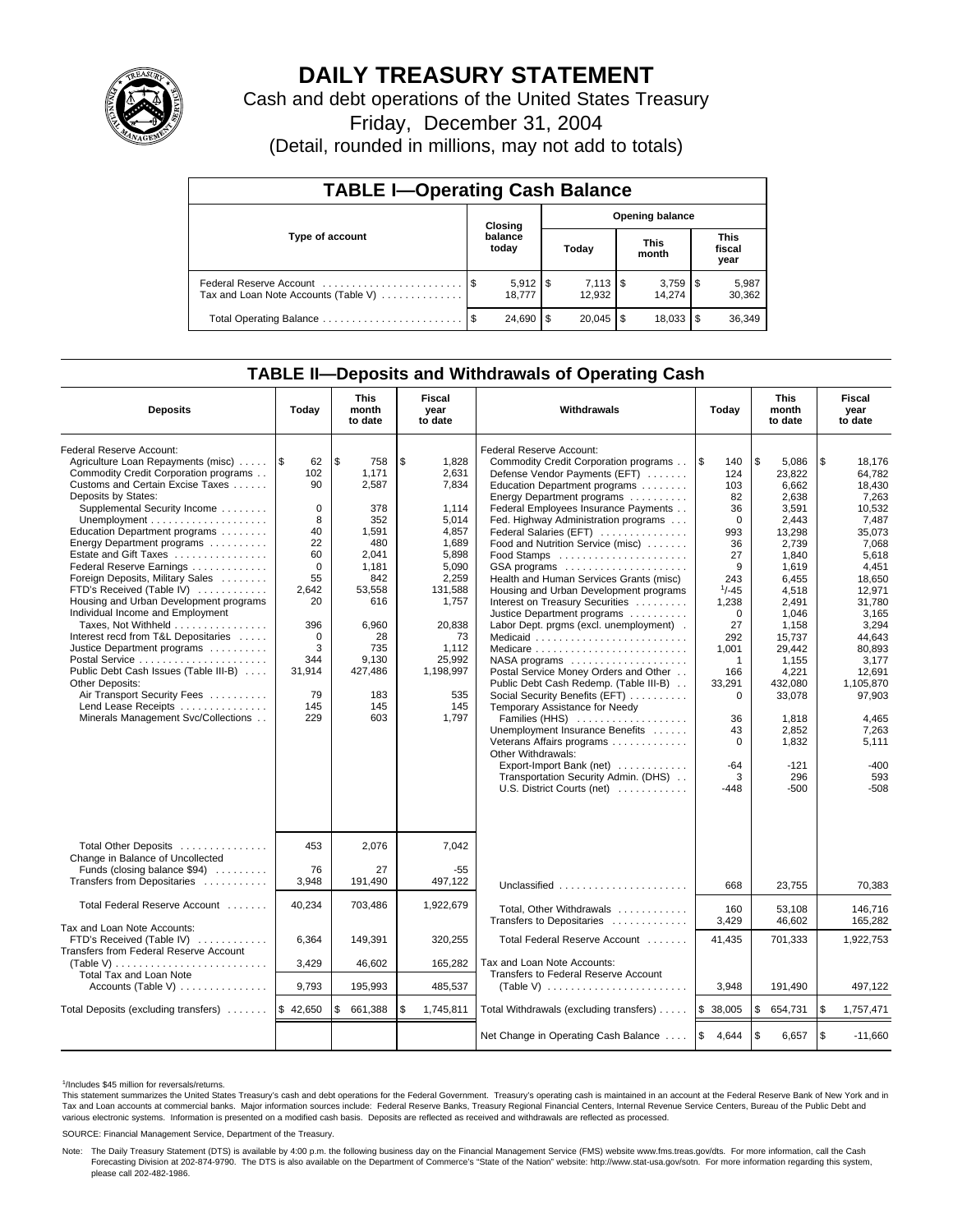

# **DAILY TREASURY STATEMENT**

Cash and debt operations of the United States Treasury

Friday, December 31, 2004

(Detail, rounded in millions, may not add to totals)

| <b>TABLE I-Operating Cash Balance</b>                           |      |                                   |       |                                 |                      |        |                               |                 |  |  |
|-----------------------------------------------------------------|------|-----------------------------------|-------|---------------------------------|----------------------|--------|-------------------------------|-----------------|--|--|
| Type of account                                                 |      | <b>Opening balance</b><br>Closing |       |                                 |                      |        |                               |                 |  |  |
|                                                                 |      | balance<br>today                  | Today |                                 | <b>This</b><br>month |        | <b>This</b><br>fiscal<br>year |                 |  |  |
| Federal Reserve Account<br>Tax and Loan Note Accounts (Table V) |      | $5,912$   \$<br>18.777            |       | $7,113$ $\frac{1}{3}$<br>12.932 |                      | 14.274 |                               | 5,987<br>30,362 |  |  |
| Total Operating Balance                                         | - \$ | 24.690                            | - \$  | $20,045$ \$                     |                      | 18,033 |                               | 36,349          |  |  |

## **TABLE II—Deposits and Withdrawals of Operating Cash**

| <b>Deposits</b>                                                                                                                                                                                                                                                                                                                                                                                                                                                                                                                                                                                                                                                                                                             | Today                                                                                                                                                         | <b>This</b><br>month<br>to date                                                                                                                                      | Fiscal<br>year<br>to date                                                                                                                                                               | Withdrawals                                                                                                                                                                                                                                                                                                                                                                                                                                                                                                                                                                                                                                                                                                                                                                                                                                                                                                                               | Today                                                                                                                                                                                                                                     | <b>This</b><br>month<br>to date                                                                                                                                                                                                                              | Fiscal<br>year<br>to date                                                                                                                                                                                                                                             |
|-----------------------------------------------------------------------------------------------------------------------------------------------------------------------------------------------------------------------------------------------------------------------------------------------------------------------------------------------------------------------------------------------------------------------------------------------------------------------------------------------------------------------------------------------------------------------------------------------------------------------------------------------------------------------------------------------------------------------------|---------------------------------------------------------------------------------------------------------------------------------------------------------------|----------------------------------------------------------------------------------------------------------------------------------------------------------------------|-----------------------------------------------------------------------------------------------------------------------------------------------------------------------------------------|-------------------------------------------------------------------------------------------------------------------------------------------------------------------------------------------------------------------------------------------------------------------------------------------------------------------------------------------------------------------------------------------------------------------------------------------------------------------------------------------------------------------------------------------------------------------------------------------------------------------------------------------------------------------------------------------------------------------------------------------------------------------------------------------------------------------------------------------------------------------------------------------------------------------------------------------|-------------------------------------------------------------------------------------------------------------------------------------------------------------------------------------------------------------------------------------------|--------------------------------------------------------------------------------------------------------------------------------------------------------------------------------------------------------------------------------------------------------------|-----------------------------------------------------------------------------------------------------------------------------------------------------------------------------------------------------------------------------------------------------------------------|
| Federal Reserve Account:<br>Agriculture Loan Repayments (misc)<br>Commodity Credit Corporation programs<br>Customs and Certain Excise Taxes<br>Deposits by States:<br>Supplemental Security Income<br>Education Department programs<br>Energy Department programs<br>Estate and Gift Taxes<br>Federal Reserve Earnings<br>Foreign Deposits, Military Sales<br>FTD's Received (Table IV)<br>Housing and Urban Development programs<br>Individual Income and Employment<br>Taxes, Not Withheld<br>Interest recd from T&L Depositaries<br>Justice Department programs<br>Public Debt Cash Issues (Table III-B)<br>Other Deposits:<br>Air Transport Security Fees<br>Lend Lease Receipts<br>Minerals Management Svc/Collections | ۱\$<br>62<br>102<br>90<br>$\mathbf 0$<br>8<br>40<br>22<br>60<br>$\Omega$<br>55<br>2.642<br>20<br>396<br>$\mathbf 0$<br>3<br>344<br>31,914<br>79<br>145<br>229 | l \$<br>758<br>1,171<br>2,587<br>378<br>352<br>1,591<br>480<br>2.041<br>1,181<br>842<br>53.558<br>616<br>6,960<br>28<br>735<br>9,130<br>427,486<br>183<br>145<br>603 | \$<br>1,828<br>2,631<br>7,834<br>1,114<br>5,014<br>4,857<br>1,689<br>5.898<br>5,090<br>2,259<br>131.588<br>1,757<br>20,838<br>73<br>1,112<br>25,992<br>1,198,997<br>535<br>145<br>1,797 | Federal Reserve Account:<br>Commodity Credit Corporation programs<br>Defense Vendor Payments (EFT)<br>Education Department programs<br>Energy Department programs<br>Federal Employees Insurance Payments<br>Fed. Highway Administration programs<br>Federal Salaries (EFT)<br>Food and Nutrition Service (misc)<br>Food Stamps<br>GSA programs<br>Health and Human Services Grants (misc)<br>Housing and Urban Development programs<br>Interest on Treasury Securities<br>Justice Department programs<br>Labor Dept. prgms (excl. unemployment).<br>Postal Service Money Orders and Other<br>Public Debt Cash Redemp. (Table III-B)<br>Social Security Benefits (EFT)<br>Temporary Assistance for Needy<br>Families (HHS)<br>Unemployment Insurance Benefits<br>Veterans Affairs programs<br>Other Withdrawals:<br>Export-Import Bank (net) $\ldots \ldots \ldots$<br>Transportation Security Admin. (DHS)<br>U.S. District Courts (net) | $\overline{1s}$<br>140<br>124<br>103<br>82<br>36<br>$\mathbf 0$<br>993<br>36<br>27<br>9<br>243<br>$1/-45$<br>1,238<br>$\mathbf 0$<br>27<br>292<br>1.001<br>1<br>166<br>33,291<br>$\Omega$<br>36<br>43<br>$\Omega$<br>$-64$<br>3<br>$-448$ | \$<br>5,086<br>23,822<br>6,662<br>2,638<br>3,591<br>2,443<br>13,298<br>2.739<br>1.840<br>1,619<br>6,455<br>4.518<br>2,491<br>1,046<br>1,158<br>15,737<br>29,442<br>1,155<br>4,221<br>432.080<br>33,078<br>1,818<br>2,852<br>1,832<br>$-121$<br>296<br>$-500$ | \$<br>18,176<br>64.782<br>18,430<br>7,263<br>10,532<br>7,487<br>35,073<br>7.068<br>5.618<br>4,451<br>18,650<br>12.971<br>31.780<br>3,165<br>3,294<br>44.643<br>80.893<br>3.177<br>12,691<br>1.105.870<br>97,903<br>4,465<br>7,263<br>5.111<br>$-400$<br>593<br>$-508$ |
| Total Other Deposits<br>Change in Balance of Uncollected<br>Funds (closing balance \$94)<br>Transfers from Depositaries                                                                                                                                                                                                                                                                                                                                                                                                                                                                                                                                                                                                     | 453<br>76<br>3,948                                                                                                                                            | 2,076<br>27<br>191,490                                                                                                                                               | 7.042<br>$-55$<br>497,122                                                                                                                                                               | Unclassified                                                                                                                                                                                                                                                                                                                                                                                                                                                                                                                                                                                                                                                                                                                                                                                                                                                                                                                              | 668                                                                                                                                                                                                                                       | 23,755                                                                                                                                                                                                                                                       | 70,383                                                                                                                                                                                                                                                                |
| Total Federal Reserve Account<br>Tax and Loan Note Accounts:                                                                                                                                                                                                                                                                                                                                                                                                                                                                                                                                                                                                                                                                | 40,234                                                                                                                                                        | 703,486                                                                                                                                                              | 1,922,679                                                                                                                                                                               | Total, Other Withdrawals<br>Transfers to Depositaries                                                                                                                                                                                                                                                                                                                                                                                                                                                                                                                                                                                                                                                                                                                                                                                                                                                                                     | 160<br>3,429                                                                                                                                                                                                                              | 53,108<br>46,602                                                                                                                                                                                                                                             | 146,716<br>165,282                                                                                                                                                                                                                                                    |
| FTD's Received (Table IV)<br>Transfers from Federal Reserve Account                                                                                                                                                                                                                                                                                                                                                                                                                                                                                                                                                                                                                                                         | 6,364                                                                                                                                                         | 149.391                                                                                                                                                              | 320,255                                                                                                                                                                                 | Total Federal Reserve Account                                                                                                                                                                                                                                                                                                                                                                                                                                                                                                                                                                                                                                                                                                                                                                                                                                                                                                             | 41.435                                                                                                                                                                                                                                    | 701.333                                                                                                                                                                                                                                                      | 1,922,753                                                                                                                                                                                                                                                             |
| Total Tax and Loan Note                                                                                                                                                                                                                                                                                                                                                                                                                                                                                                                                                                                                                                                                                                     | 3,429                                                                                                                                                         | 46,602                                                                                                                                                               | 165,282                                                                                                                                                                                 | Tax and Loan Note Accounts:<br>Transfers to Federal Reserve Account                                                                                                                                                                                                                                                                                                                                                                                                                                                                                                                                                                                                                                                                                                                                                                                                                                                                       |                                                                                                                                                                                                                                           |                                                                                                                                                                                                                                                              |                                                                                                                                                                                                                                                                       |
| Accounts (Table V) $\dots \dots \dots \dots$                                                                                                                                                                                                                                                                                                                                                                                                                                                                                                                                                                                                                                                                                | 9,793                                                                                                                                                         | 195,993                                                                                                                                                              | 485,537                                                                                                                                                                                 |                                                                                                                                                                                                                                                                                                                                                                                                                                                                                                                                                                                                                                                                                                                                                                                                                                                                                                                                           | 3,948                                                                                                                                                                                                                                     | 191,490                                                                                                                                                                                                                                                      | 497,122                                                                                                                                                                                                                                                               |
| Total Deposits (excluding transfers)                                                                                                                                                                                                                                                                                                                                                                                                                                                                                                                                                                                                                                                                                        | \$42,650                                                                                                                                                      | \$<br>661,388                                                                                                                                                        | \$<br>1,745,811                                                                                                                                                                         | Total Withdrawals (excluding transfers)                                                                                                                                                                                                                                                                                                                                                                                                                                                                                                                                                                                                                                                                                                                                                                                                                                                                                                   | 1\$<br>38,005                                                                                                                                                                                                                             | ۱\$<br>654,731                                                                                                                                                                                                                                               | \$<br>1,757,471                                                                                                                                                                                                                                                       |
|                                                                                                                                                                                                                                                                                                                                                                                                                                                                                                                                                                                                                                                                                                                             |                                                                                                                                                               |                                                                                                                                                                      |                                                                                                                                                                                         | Net Change in Operating Cash Balance                                                                                                                                                                                                                                                                                                                                                                                                                                                                                                                                                                                                                                                                                                                                                                                                                                                                                                      | 1\$<br>4,644                                                                                                                                                                                                                              | l \$<br>6,657                                                                                                                                                                                                                                                | \$<br>$-11,660$                                                                                                                                                                                                                                                       |

1 /Includes \$45 million for reversals/returns.

This statement summarizes the United States Treasury's cash and debt operations for the Federal Government. Treasury's operating cash is maintained in an account at the Federal Reserve Bank of New York and in Tax and Loan accounts at commercial banks. Major information sources include: Federal Reserve Banks, Treasury Regional Financial Centers, Internal Revenue Service Centers, Bureau of the Public Debt and<br>various electronic s

SOURCE: Financial Management Service, Department of the Treasury.

Note: The Daily Treasury Statement (DTS) is available by 4:00 p.m. the following business day on the Financial Management Service (FMS) website www.fms.treas.gov/dts. For more information, call the Cash<br>Forecasting Divisio please call 202-482-1986.